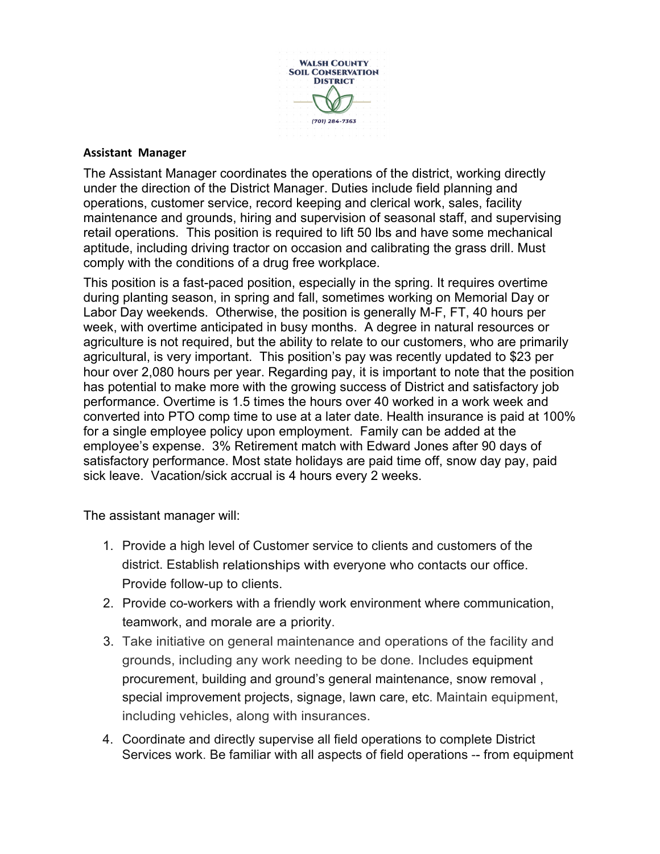

## **Assistant Manager**

The Assistant Manager coordinates the operations of the district, working directly under the direction of the District Manager. Duties include field planning and operations, customer service, record keeping and clerical work, sales, facility maintenance and grounds, hiring and supervision of seasonal staff, and supervising retail operations. This position is required to lift 50 lbs and have some mechanical aptitude, including driving tractor on occasion and calibrating the grass drill. Must comply with the conditions of a drug free workplace.

This position is a fast-paced position, especially in the spring. It requires overtime during planting season, in spring and fall, sometimes working on Memorial Day or Labor Day weekends. Otherwise, the position is generally M-F, FT, 40 hours per week, with overtime anticipated in busy months. A degree in natural resources or agriculture is not required, but the ability to relate to our customers, who are primarily agricultural, is very important. This position's pay was recently updated to \$23 per hour over 2,080 hours per year. Regarding pay, it is important to note that the position has potential to make more with the growing success of District and satisfactory job performance. Overtime is 1.5 times the hours over 40 worked in a work week and converted into PTO comp time to use at a later date. Health insurance is paid at 100% for a single employee policy upon employment. Family can be added at the employee's expense. 3% Retirement match with Edward Jones after 90 days of satisfactory performance. Most state holidays are paid time off, snow day pay, paid sick leave. Vacation/sick accrual is 4 hours every 2 weeks.

The assistant manager will:

- 1. Provide a high level of Customer service to clients and customers of the district. Establish relationships with everyone who contacts our office. Provide follow-up to clients.
- 2. Provide co-workers with a friendly work environment where communication, teamwork, and morale are a priority.
- 3. Take initiative on general maintenance and operations of the facility and grounds, including any work needing to be done. Includes equipment procurement, building and ground's general maintenance, snow removal , special improvement projects, signage, lawn care, etc. Maintain equipment, including vehicles, along with insurances.
- 4. Coordinate and directly supervise all field operations to complete District Services work. Be familiar with all aspects of field operations -- from equipment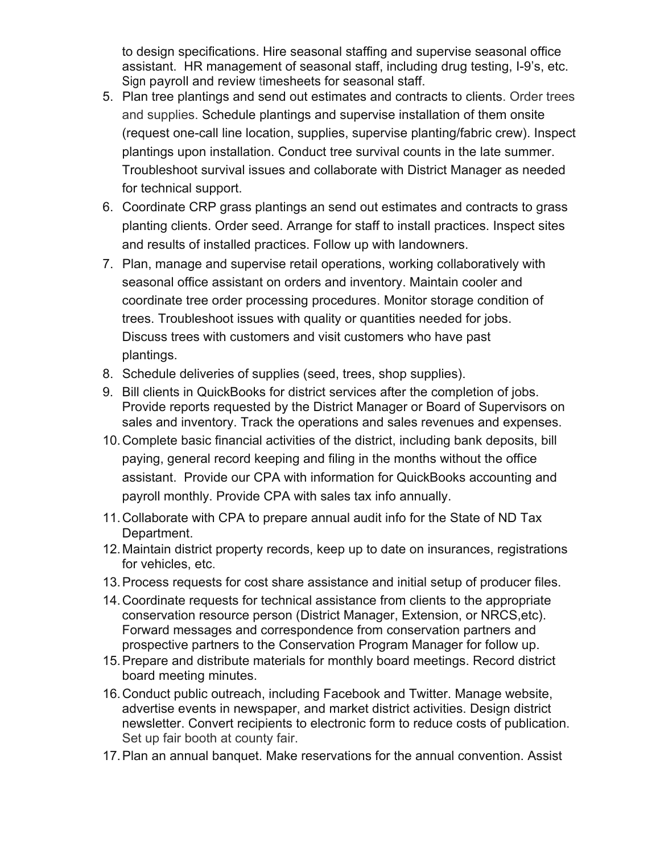to design specifications. Hire seasonal staffing and supervise seasonal office assistant. HR management of seasonal staff, including drug testing, I-9's, etc. Sign payroll and review timesheets for seasonal staff.

- 5. Plan tree plantings and send out estimates and contracts to clients. Order trees and supplies. Schedule plantings and supervise installation of them onsite (request one-call line location, supplies, supervise planting/fabric crew). Inspect plantings upon installation. Conduct tree survival counts in the late summer. Troubleshoot survival issues and collaborate with District Manager as needed for technical support.
- 6. Coordinate CRP grass plantings an send out estimates and contracts to grass planting clients. Order seed. Arrange for staff to install practices. Inspect sites and results of installed practices. Follow up with landowners.
- 7. Plan, manage and supervise retail operations, working collaboratively with seasonal office assistant on orders and inventory. Maintain cooler and coordinate tree order processing procedures. Monitor storage condition of trees. Troubleshoot issues with quality or quantities needed for jobs. Discuss trees with customers and visit customers who have past plantings.
- 8. Schedule deliveries of supplies (seed, trees, shop supplies).
- 9. Bill clients in QuickBooks for district services after the completion of jobs. Provide reports requested by the District Manager or Board of Supervisors on sales and inventory. Track the operations and sales revenues and expenses.
- 10. Complete basic financial activities of the district, including bank deposits, bill paying, general record keeping and filing in the months without the office assistant. Provide our CPA with information for QuickBooks accounting and payroll monthly. Provide CPA with sales tax info annually.
- 11. Collaborate with CPA to prepare annual audit info for the State of ND Tax Department.
- 12. Maintain district property records, keep up to date on insurances, registrations for vehicles, etc.
- 13. Process requests for cost share assistance and initial setup of producer files.
- 14. Coordinate requests for technical assistance from clients to the appropriate conservation resource person (District Manager, Extension, or NRCS,etc). Forward messages and correspondence from conservation partners and prospective partners to the Conservation Program Manager for follow up.
- 15. Prepare and distribute materials for monthly board meetings. Record district board meeting minutes.
- 16. Conduct public outreach, including Facebook and Twitter. Manage website, advertise events in newspaper, and market district activities. Design district newsletter. Convert recipients to electronic form to reduce costs of publication. Set up fair booth at county fair.
- 17. Plan an annual banquet. Make reservations for the annual convention. Assist